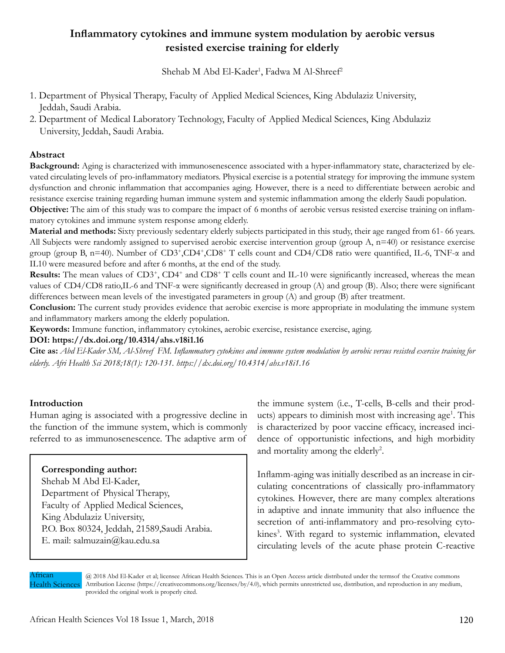# **Inflammatory cytokines and immune system modulation by aerobic versus resisted exercise training for elderly**

Shehab M Abd El-Kader<sup>1</sup>, Fadwa M Al-Shreef<sup>2</sup>

- 1. Department of Physical Therapy, Faculty of Applied Medical Sciences, King Abdulaziz University, Jeddah, Saudi Arabia.
- 2. Department of Medical Laboratory Technology, Faculty of Applied Medical Sciences, King Abdulaziz University, Jeddah, Saudi Arabia.

## **Abstract**

**Background:** Aging is characterized with immunosenescence associated with a hyper-inflammatory state, characterized by elevated circulating levels of pro-inflammatory mediators. Physical exercise is a potential strategy for improving the immune system dysfunction and chronic inflammation that accompanies aging. However, there is a need to differentiate between aerobic and resistance exercise training regarding human immune system and systemic inflammation among the elderly Saudi population. **Objective:** The aim of this study was to compare the impact of 6 months of aerobic versus resisted exercise training on inflam-

matory cytokines and immune system response among elderly. **Material and methods:** Sixty previously sedentary elderly subjects participated in this study, their age ranged from 61- 66 years. All Subjects were randomly assigned to supervised aerobic exercise intervention group (group A, n=40) or resistance exercise group (group B, n=40). Number of CD3<sup>+</sup>,CD4<sup>+</sup>,CD8<sup>+</sup> T cells count and CD4/CD8 ratio were quantified, IL-6, TNF-α and IL10 were measured before and after 6 months, at the end of the study.

**Results:** The mean values of CD3<sup>+</sup>, CD4<sup>+</sup> and CD8<sup>+</sup> T cells count and IL-10 were significantly increased, whereas the mean values of CD4/CD8 ratio,IL-6 and TNF-α were significantly decreased in group (A) and group (B). Also; there were significant differences between mean levels of the investigated parameters in group (A) and group (B) after treatment.

**Conclusion:** The current study provides evidence that aerobic exercise is more appropriate in modulating the immune system and inflammatory markers among the elderly population.

**Keywords:** Immune function, inflammatory cytokines, aerobic exercise, resistance exercise, aging.

### **DOI: https://dx.doi.org/10.4314/ahs.v18i1.16**

**Cite as:** *Abd El-Kader SM, Al-Shreef FM. Inflammatory cytokines and immune system modulation by aerobic versus resisted exercise training for elderly. Afri Health Sci 2018;18(1): 120-131. https://dx.doi.org/10.4314/ahs.v18i1.16*

### **Introduction**

Human aging is associated with a progressive decline in the function of the immune system, which is commonly referred to as immunosenescence. The adaptive arm of

### **Corresponding author:**

Shehab M Abd El-Kader, Department of Physical Therapy, Faculty of Applied Medical Sciences, King Abdulaziz University, P.O. Box 80324, Jeddah, 21589,Saudi Arabia. E. mail: salmuzain@kau.edu.sa

the immune system (i.e., T-cells, B-cells and their products) appears to diminish most with increasing age<sup>1</sup>. This is characterized by poor vaccine efficacy, increased incidence of opportunistic infections, and high morbidity and mortality among the elderly<sup>2</sup>.

Inflamm-aging was initially described as an increase in circulating concentrations of classically pro-inflammatory cytokines. However, there are many complex alterations in adaptive and innate immunity that also influence the secretion of anti-inflammatory and pro-resolving cytokines<sup>3</sup>. With regard to systemic inflammation, elevated circulating levels of the acute phase protein C-reactive

Atrican Health Sciences

@ 2018 Abd El-Kader et al; licensee African Health Sciences. This is an Open Access article distributed under the termsof the Creative commons Attribution License (https://creativecommons.org/licenses/by/4.0), which permits unrestricted use, distribution, and reproduction in any medium, provided the original work is properly cited.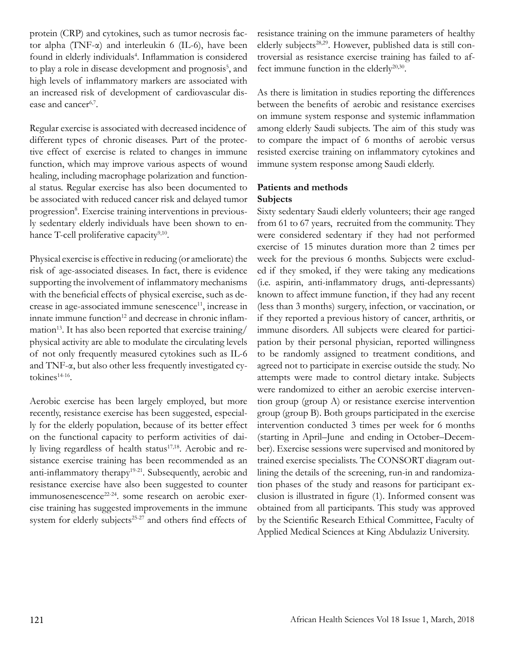protein (CRP) and cytokines, such as tumor necrosis factor alpha (TNF-α) and interleukin 6 (IL-6), have been found in elderly individuals<sup>4</sup>. Inflammation is considered to play a role in disease development and prognosis<sup>5</sup>, and high levels of inflammatory markers are associated with an increased risk of development of cardiovascular disease and cancer<sup>6,7</sup>.

Regular exercise is associated with decreased incidence of different types of chronic diseases. Part of the protective effect of exercise is related to changes in immune function, which may improve various aspects of wound healing, including macrophage polarization and functional status. Regular exercise has also been documented to be associated with reduced cancer risk and delayed tumor progression<sup>8</sup>. Exercise training interventions in previously sedentary elderly individuals have been shown to enhance T-cell proliferative capacity<sup>9,10</sup>.

Physical exercise is effective in reducing (or ameliorate) the risk of age-associated diseases. In fact, there is evidence supporting the involvement of inflammatory mechanisms with the beneficial effects of physical exercise, such as decrease in age-associated immune senescence<sup>11</sup>, increase in innate immune function<sup>12</sup> and decrease in chronic inflam $mation<sup>13</sup>$ . It has also been reported that exercise training/ physical activity are able to modulate the circulating levels of not only frequently measured cytokines such as IL-6 and TNF-α, but also other less frequently investigated cytokines<sup>14-16</sup>.

Aerobic exercise has been largely employed, but more recently, resistance exercise has been suggested, especially for the elderly population, because of its better effect on the functional capacity to perform activities of daily living regardless of health status<sup>17,18</sup>. Aerobic and resistance exercise training has been recommended as an anti-inflammatory therapy<sup>19-21</sup>. Subsequently, aerobic and resistance exercise have also been suggested to counter immunosenescence<sup>22-24</sup>. some research on aerobic exercise training has suggested improvements in the immune system for elderly subjects<sup>25-27</sup> and others find effects of

resistance training on the immune parameters of healthy elderly subjects<sup>28,29</sup>. However, published data is still controversial as resistance exercise training has failed to affect immune function in the elderly<sup>20,30</sup>.

As there is limitation in studies reporting the differences between the benefits of aerobic and resistance exercises on immune system response and systemic inflammation among elderly Saudi subjects. The aim of this study was to compare the impact of 6 months of aerobic versus resisted exercise training on inflammatory cytokines and immune system response among Saudi elderly.

# **Patients and methods Subjects**

Sixty sedentary Saudi elderly volunteers; their age ranged from 61 to 67 years, recruited from the community. They were considered sedentary if they had not performed exercise of 15 minutes duration more than 2 times per week for the previous 6 months. Subjects were excluded if they smoked, if they were taking any medications (i.e. aspirin, anti-inflammatory drugs, anti-depressants) known to affect immune function, if they had any recent (less than 3 months) surgery, infection, or vaccination, or if they reported a previous history of cancer, arthritis, or immune disorders. All subjects were cleared for participation by their personal physician, reported willingness to be randomly assigned to treatment conditions, and agreed not to participate in exercise outside the study. No attempts were made to control dietary intake. Subjects were randomized to either an aerobic exercise intervention group (group A) or resistance exercise intervention group (group B). Both groups participated in the exercise intervention conducted 3 times per week for 6 months (starting in April–June and ending in October–December). Exercise sessions were supervised and monitored by trained exercise specialists. The CONSORT diagram outlining the details of the screening, run-in and randomization phases of the study and reasons for participant exclusion is illustrated in figure (1). Informed consent was obtained from all participants. This study was approved by the Scientific Research Ethical Committee, Faculty of Applied Medical Sciences at King Abdulaziz University.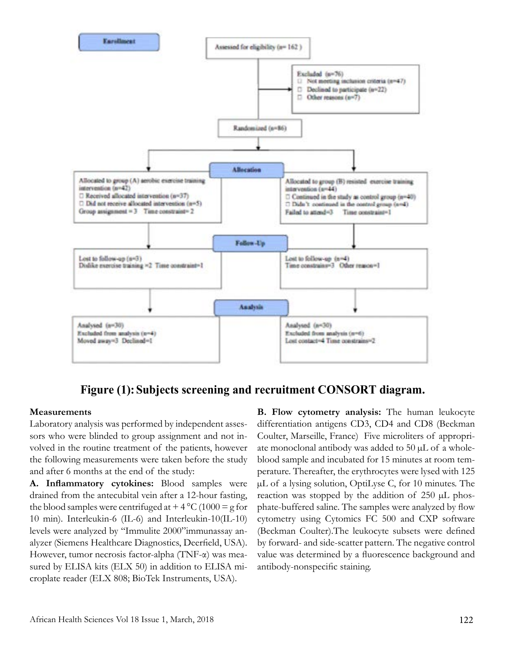

**Figure (1):Subjects screening and recruitment CONSORT diagram.**

# **Measurements**

Laboratory analysis was performed by independent assessors who were blinded to group assignment and not involved in the routine treatment of the patients, however the following measurements were taken before the study and after 6 months at the end of the study:

**A. Inflammatory cytokines:** Blood samples were drained from the antecubital vein after a 12-hour fasting, the blood samples were centrifuged at  $+ 4 °C (1000 = g$  for 10 min). Interleukin-6 (IL-6) and Interleukin-10(IL-10) levels were analyzed by "Immulite 2000"immunassay analyzer (Siemens Healthcare Diagnostics, Deerfield, USA). However, tumor necrosis factor-alpha (TNF-α) was measured by ELISA kits (ELX 50) in addition to ELISA microplate reader (ELX 808; BioTek Instruments, USA).

**B. Flow cytometry analysis:** The human leukocyte differentiation antigens CD3, CD4 and CD8 (Beckman Coulter, Marseille, France) Five microliters of appropriate monoclonal antibody was added to  $50 \mu L$  of a wholeblood sample and incubated for 15 minutes at room temperature. Thereafter, the erythrocytes were lysed with 125 µL of a lysing solution, OptiLyse C, for 10 minutes. The reaction was stopped by the addition of  $250 \mu L$  phosphate-buffered saline. The samples were analyzed by flow cytometry using Cytomics FC 500 and CXP software (Beckman Coulter).The leukocyte subsets were defined by forward- and side-scatter pattern. The negative control value was determined by a fluorescence background and antibody-nonspecific staining.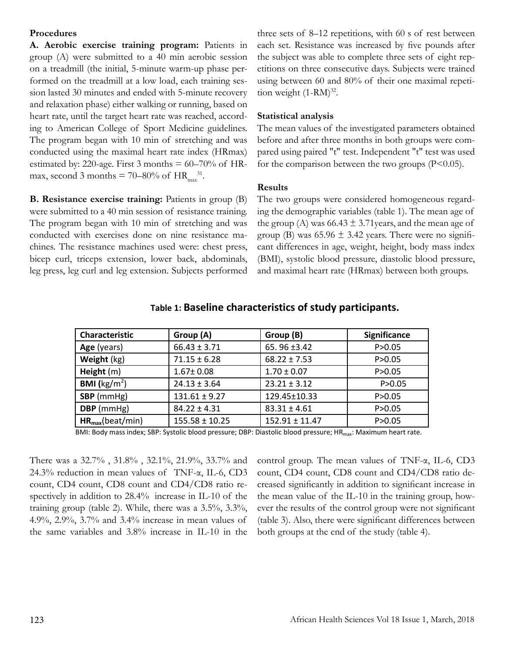#### **Procedures**

**A. Aerobic exercise training program:** Patients in group (A) were submitted to a 40 min aerobic session on a treadmill (the initial, 5-minute warm-up phase performed on the treadmill at a low load, each training session lasted 30 minutes and ended with 5-minute recovery and relaxation phase) either walking or running, based on heart rate, until the target heart rate was reached, according to American College of Sport Medicine guidelines. The program began with 10 min of stretching and was conducted using the maximal heart rate index (HRmax) estimated by: 220-age. First 3 months  $= 60-70\%$  of HRmax, second 3 months = 70–80% of  $HR_{max}^{31}$ .

**B. Resistance exercise training:** Patients in group (B) were submitted to a 40 min session of resistance training. The program began with 10 min of stretching and was conducted with exercises done on nine resistance machines. The resistance machines used were: chest press, bicep curl, triceps extension, lower back, abdominals, leg press, leg curl and leg extension. Subjects performed three sets of 8–12 repetitions, with 60 s of rest between each set. Resistance was increased by five pounds after the subject was able to complete three sets of eight repetitions on three consecutive days. Subjects were trained using between 60 and 80% of their one maximal repetition weight  $(1-RM)^{32}$ .

## **Statistical analysis**

The mean values of the investigated parameters obtained before and after three months in both groups were compared using paired "t" test. Independent "t" test was used for the comparison between the two groups  $(P<0.05)$ .

#### **Results**

The two groups were considered homogeneous regarding the demographic variables (table 1). The mean age of the group (A) was  $66.43 \pm 3.71$  years, and the mean age of group (B) was  $65.96 \pm 3.42$  years. There were no significant differences in age, weight, height, body mass index (BMI), systolic blood pressure, diastolic blood pressure, and maximal heart rate (HRmax) between both groups.

| <b>Characteristic</b>          | Group (A)          | Group (B)          | <b>Significance</b> |
|--------------------------------|--------------------|--------------------|---------------------|
| Age (years)                    | $66.43 \pm 3.71$   | 65.96 ±3.42        | P > 0.05            |
| Weight (kg)                    | $71.15 \pm 6.28$   | $68.22 \pm 7.53$   | P > 0.05            |
| Height (m)                     | $1.67 \pm 0.08$    | $1.70 \pm 0.07$    | P > 0.05            |
| <b>BMI</b> ( $\text{kg/m}^2$ ) | $24.13 \pm 3.64$   | $23.21 \pm 3.12$   | P > 0.05            |
| SBP (mmHg)                     | $131.61 \pm 9.27$  | 129.45±10.33       | P > 0.05            |
| DBP (mmHg)                     | $84.22 \pm 4.31$   | $83.31 \pm 4.61$   | P > 0.05            |
| $HR_{max}(beat/min)$           | $155.58 \pm 10.25$ | $152.91 \pm 11.47$ | P > 0.05            |

# **Table 1: Baseline characteristics of study participants.**

BMI: Body mass index; SBP: Systolic blood pressure; DBP: Diastolic blood pressure; HR<sub>max</sub>: Maximum heart rate.

There was a 32.7% , 31.8% , 32.1%, 21.9%, 33.7% and 24.3% reduction in mean values of TNF-α, IL-6, CD3 count, CD4 count, CD8 count and CD4/CD8 ratio respectively in addition to 28.4% increase in IL-10 of the training group (table 2). While, there was a 3.5%, 3.3%, 4.9%, 2.9%, 3.7% and 3.4% increase in mean values of the same variables and 3.8% increase in IL-10 in the

control group. The mean values of TNF-α, IL-6, CD3 count, CD4 count, CD8 count and CD4/CD8 ratio decreased significantly in addition to significant increase in the mean value of the IL-10 in the training group, however the results of the control group were not significant (table 3). Also, there were significant differences between both groups at the end of the study (table 4).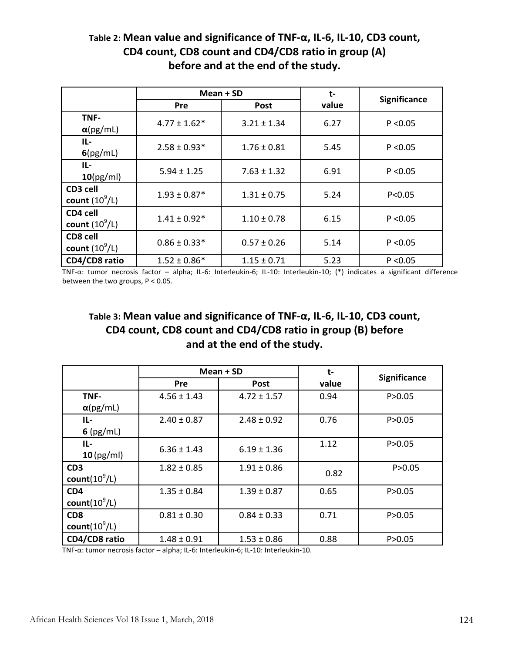# **Table 2: Mean value and significance of TNF-α, IL-6, IL-10, CD3 count, CD4 count, CD8 count and CD4/CD8 ratio in group (A) before and at the end of the study.**

|                              | Mean + SD        |                 | t-    |                     |
|------------------------------|------------------|-----------------|-------|---------------------|
|                              | Pre              | <b>Post</b>     | value | <b>Significance</b> |
| TNF-<br>$\alpha$ (pg/mL)     | $4.77 \pm 1.62*$ | $3.21 \pm 1.34$ | 6.27  | P < 0.05            |
| IL-<br>6(pg/mL)              | $2.58 \pm 0.93*$ | $1.76 \pm 0.81$ | 5.45  | P < 0.05            |
| IL-<br>$10$ (pg/ml)          | $5.94 \pm 1.25$  | $7.63 \pm 1.32$ | 6.91  | P < 0.05            |
| CD3 cell<br>count $(10^9/L)$ | $1.93 \pm 0.87*$ | $1.31 \pm 0.75$ | 5.24  | P < 0.05            |
| CD4 cell<br>count $(10^9/L)$ | $1.41 \pm 0.92*$ | $1.10 \pm 0.78$ | 6.15  | P < 0.05            |
| CD8 cell<br>count $(10^9/L)$ | $0.86 \pm 0.33*$ | $0.57 \pm 0.26$ | 5.14  | P < 0.05            |
| CD4/CD8 ratio                | $1.52 \pm 0.86*$ | $1.15 \pm 0.71$ | 5.23  | P < 0.05            |

TNF-α: tumor necrosis factor – alpha; IL-6: Interleukin-6; IL-10: Interleukin-10; (\*) indicates a significant difference between the two groups, P < 0.05.

# **Table 3: Mean value and significance of TNF-α, IL-6, IL-10, CD3 count, CD4 count, CD8 count and CD4/CD8 ratio in group (B) before and at the end of the study.**

|                  | $Mean + SD$     |                 | t-    |                     |
|------------------|-----------------|-----------------|-------|---------------------|
|                  | <b>Pre</b>      | <b>Post</b>     | value | <b>Significance</b> |
| TNF-             | $4.56 \pm 1.43$ | $4.72 \pm 1.57$ | 0.94  | P > 0.05            |
| $\alpha$ (pg/mL) |                 |                 |       |                     |
| IL-              | $2.40 \pm 0.87$ | $2.48 \pm 0.92$ | 0.76  | P > 0.05            |
| $6$ (pg/mL)      |                 |                 |       |                     |
| IL-              | $6.36 \pm 1.43$ | $6.19 \pm 1.36$ | 1.12  | P > 0.05            |
| $10$ (pg/ml)     |                 |                 |       |                     |
| CD <sub>3</sub>  | $1.82 \pm 0.85$ | $1.91 \pm 0.86$ | 0.82  | P > 0.05            |
| count $(10^9/L)$ |                 |                 |       |                     |
| CD <sub>4</sub>  | $1.35 \pm 0.84$ | $1.39 \pm 0.87$ | 0.65  | P > 0.05            |
| count $(10^9/L)$ |                 |                 |       |                     |
| CD <sub>8</sub>  | $0.81 \pm 0.30$ | $0.84 \pm 0.33$ | 0.71  | P > 0.05            |
| count $(10^9/L)$ |                 |                 |       |                     |
| CD4/CD8 ratio    | $1.48 \pm 0.91$ | $1.53 \pm 0.86$ | 0.88  | P > 0.05            |

TNF-α: tumor necrosis factor – alpha; IL-6: Interleukin-6; IL-10: Interleukin-10.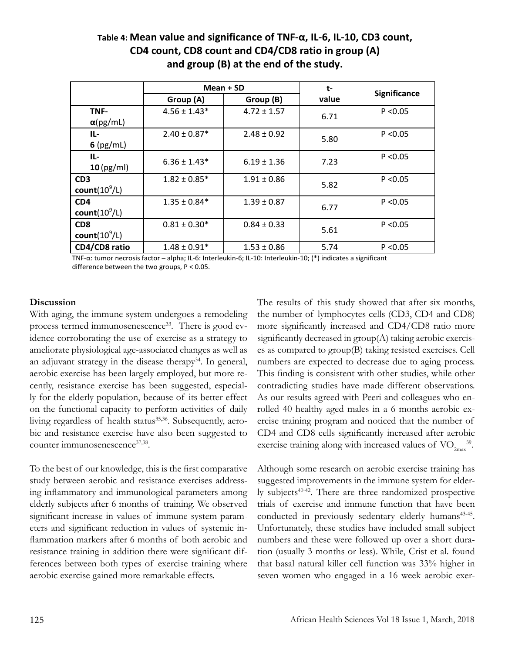# **Table 4: Mean value and significance of TNF-α, IL-6, IL-10, CD3 count, CD4 count, CD8 count and CD4/CD8 ratio in group (A) and group (B) at the end of the study.**

|                  | Mean + SD        |                 | t-    |              |
|------------------|------------------|-----------------|-------|--------------|
|                  | Group (A)        | Group (B)       | value | Significance |
| TNF-             | $4.56 \pm 1.43*$ | $4.72 \pm 1.57$ | 6.71  | P < 0.05     |
| $\alpha$ (pg/mL) |                  |                 |       |              |
| IL-              | $2.40 \pm 0.87*$ | $2.48 \pm 0.92$ | 5.80  | P < 0.05     |
| $6$ (pg/mL)      |                  |                 |       |              |
| IL-              | $6.36 \pm 1.43*$ |                 | 7.23  | P < 0.05     |
| $10$ (pg/ml)     |                  | $6.19 \pm 1.36$ |       |              |
| CD <sub>3</sub>  | $1.82 \pm 0.85*$ | $1.91 \pm 0.86$ | 5.82  | P < 0.05     |
| count $(10^9/L)$ |                  |                 |       |              |
| CD <sub>4</sub>  | $1.35 \pm 0.84*$ | $1.39 \pm 0.87$ | 6.77  | P < 0.05     |
| count $(10^9/L)$ |                  |                 |       |              |
| CD <sub>8</sub>  | $0.81 \pm 0.30*$ | $0.84 \pm 0.33$ | 5.61  | P < 0.05     |
| count $(10^9/L)$ |                  |                 |       |              |
| CD4/CD8 ratio    | $1.48 \pm 0.91*$ | $1.53 \pm 0.86$ | 5.74  | P < 0.05     |

TNF-α: tumor necrosis factor – alpha; IL-6: Interleukin-6; IL-10: Interleukin-10; (\*) indicates a significant difference between the two groups, P < 0.05.

# **Discussion**

With aging, the immune system undergoes a remodeling process termed immunosenescence<sup>33</sup>. There is good evidence corroborating the use of exercise as a strategy to ameliorate physiological age-associated changes as well as an adjuvant strategy in the disease therapy<sup>34</sup>. In general, aerobic exercise has been largely employed, but more recently, resistance exercise has been suggested, especially for the elderly population, because of its better effect on the functional capacity to perform activities of daily living regardless of health status<sup>35,36</sup>. Subsequently, aerobic and resistance exercise have also been suggested to counter immunosenescence<sup>37,38</sup>.

To the best of our knowledge, this is the first comparative study between aerobic and resistance exercises addressing inflammatory and immunological parameters among elderly subjects after 6 months of training. We observed significant increase in values of immune system parameters and significant reduction in values of systemic inflammation markers after 6 months of both aerobic and resistance training in addition there were significant differences between both types of exercise training where aerobic exercise gained more remarkable effects.

The results of this study showed that after six months, the number of lymphocytes cells (CD3, CD4 and CD8) more significantly increased and CD4/CD8 ratio more significantly decreased in group(A) taking aerobic exercises as compared to group(B) taking resisted exercises. Cell numbers are expected to decrease due to aging process. This finding is consistent with other studies, while other contradicting studies have made different observations. As our results agreed with Peeri and colleagues who enrolled 40 healthy aged males in a 6 months aerobic exercise training program and noticed that the number of CD4 and CD8 cells significantly increased after aerobic exercise training along with increased values of  $\rm VO_{2max}^{-39}$ .

Although some research on aerobic exercise training has suggested improvements in the immune system for elderly subjects40-42. There are three randomized prospective trials of exercise and immune function that have been conducted in previously sedentary elderly humans<sup>43-45</sup>. Unfortunately, these studies have included small subject numbers and these were followed up over a short duration (usually 3 months or less). While, Crist et al. found that basal natural killer cell function was 33% higher in seven women who engaged in a 16 week aerobic exer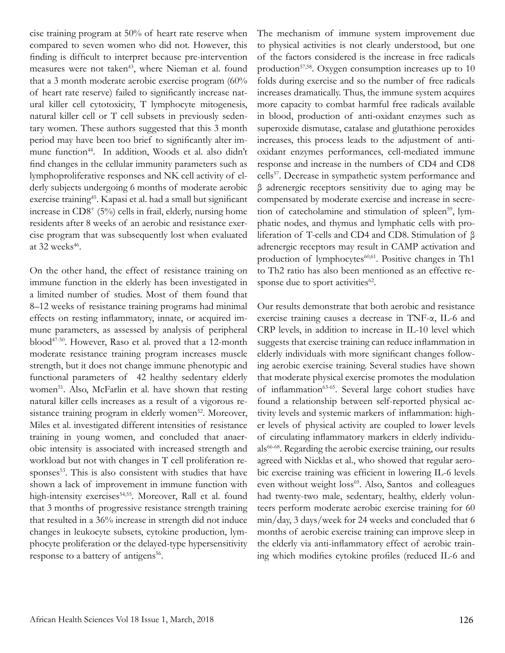cise training program at 50% of heart rate reserve when compared to seven women who did not. However, this finding is difficult to interpret because pre-intervention measures were not taken<sup>43</sup>, where Nieman et al. found that a 3 month moderate aerobic exercise program (60% of heart rate reserve) failed to significantly increase natural killer cell cytotoxicity, T lymphocyte mitogenesis, natural killer cell or T cell subsets in previously sedentary women. These authors suggested that this 3 month period may have been too brief to significantly alter immune function<sup>44</sup>. In addition, Woods et al. also didn't find changes in the cellular immunity parameters such as lymphoproliferative responses and NK cell activity of elderly subjects undergoing 6 months of moderate aerobic exercise training<sup>45</sup>. Kapasi et al. had a small but significant increase in  $CD8^+$  (5%) cells in frail, elderly, nursing home residents after 8 weeks of an aerobic and resistance exercise program that was subsequently lost when evaluated at  $32$  weeks<sup>46</sup>.

On the other hand, the effect of resistance training on immune function in the elderly has been investigated in a limited number of studies. Most of them found that 8–12 weeks of resistance training programs had minimal effects on resting inflammatory, innate, or acquired immune parameters, as assessed by analysis of peripheral blood47-50. However, Raso et al. proved that a 12-month moderate resistance training program increases muscle strength, but it does not change immune phenotypic and functional parameters of 42 healthy sedentary elderly women<sup>51</sup>. Also, McFarlin et al. have shown that resting natural killer cells increases as a result of a vigorous resistance training program in elderly women<sup>52</sup>. Moreover, Miles et al. investigated different intensities of resistance training in young women, and concluded that anaerobic intensity is associated with increased strength and workload but not with changes in T cell proliferation responses<sup>53</sup>. This is also consistent with studies that have shown a lack of improvement in immune function with high-intensity exercises<sup>54,55</sup>. Moreover, Rall et al. found that 3 months of progressive resistance strength training that resulted in a 36% increase in strength did not induce changes in leukocyte subsets, cytokine production, lymphocyte proliferation or the delayed-type hypersensitivity response to a battery of antigens<sup>56</sup>.

The mechanism of immune system improvement due to physical activities is not clearly understood, but one of the factors considered is the increase in free radicals production $57,58$ . Oxygen consumption increases up to 10 folds during exercise and so the number of free radicals increases dramatically. Thus, the immune system acquires more capacity to combat harmful free radicals available in blood, production of anti-oxidant enzymes such as superoxide dismutase, catalase and glutathione peroxides increases, this process leads to the adjustment of antioxidant enzymes performances, cell-mediated immune response and increase in the numbers of CD4 and CD8 cells<sup>57</sup>. Decrease in sympathetic system performance and β adrenergic receptors sensitivity due to aging may be compensated by moderate exercise and increase in secretion of catecholamine and stimulation of spleen<sup>59</sup>, lymphatic nodes, and thymus and lymphatic cells with proliferation of T-cells and CD4 and CD8. Stimulation of β adrenergic receptors may result in CAMP activation and production of lymphocytes<sup>60,61</sup>. Positive changes in Th1 to Th2 ratio has also been mentioned as an effective response due to sport activities<sup>62</sup>.

Our results demonstrate that both aerobic and resistance exercise training causes a decrease in TNF-α, IL-6 and CRP levels, in addition to increase in IL-10 level which suggests that exercise training can reduce inflammation in elderly individuals with more significant changes following aerobic exercise training. Several studies have shown that moderate physical exercise promotes the modulation of inflammation<sup>63-65</sup>. Several large cohort studies have found a relationship between self-reported physical activity levels and systemic markers of inflammation: higher levels of physical activity are coupled to lower levels of circulating inflammatory markers in elderly individuals66-68. Regarding the aerobic exercise training, our results agreed with Nicklas et al., who showed that regular aerobic exercise training was efficient in lowering IL-6 levels even without weight loss<sup>69</sup>. Also, Santos and colleagues had twenty-two male, sedentary, healthy, elderly volunteers perform moderate aerobic exercise training for 60 min/day, 3 days/week for 24 weeks and concluded that 6 months of aerobic exercise training can improve sleep in the elderly via anti-inflammatory effect of aerobic training which modifies cytokine profiles (reduced IL-6 and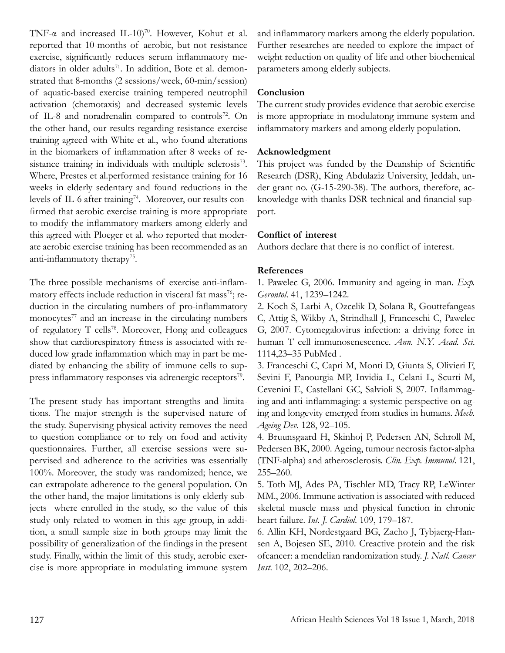TNF- $\alpha$  and increased IL-10)<sup>70</sup>. However, Kohut et al. reported that 10-months of aerobic, but not resistance exercise, significantly reduces serum inflammatory mediators in older adults<sup>71</sup>. In addition, Bote et al. demonstrated that 8-months (2 sessions/week, 60-min/session) of aquatic-based exercise training tempered neutrophil activation (chemotaxis) and decreased systemic levels of IL-8 and noradrenalin compared to controls<sup>72</sup>. On the other hand, our results regarding resistance exercise training agreed with White et al., who found alterations in the biomarkers of inflammation after 8 weeks of resistance training in individuals with multiple sclerosis<sup>73</sup>. Where, Prestes et al.performed resistance training for 16 weeks in elderly sedentary and found reductions in the levels of IL-6 after training<sup>74</sup>. Moreover, our results confirmed that aerobic exercise training is more appropriate to modify the inflammatory markers among elderly and this agreed with Ploeger et al. who reported that moderate aerobic exercise training has been recommended as an anti-inflammatory therapy<sup>75</sup>.

The three possible mechanisms of exercise anti-inflammatory effects include reduction in visceral fat mass<sup>76</sup>; reduction in the circulating numbers of pro-inflammatory monocytes $77$  and an increase in the circulating numbers of regulatory T cells<sup>78</sup>. Moreover, Hong and colleagues show that cardiorespiratory fitness is associated with reduced low grade inflammation which may in part be mediated by enhancing the ability of immune cells to suppress inflammatory responses via adrenergic receptors $\frac{79}{6}$ .

The present study has important strengths and limitations. The major strength is the supervised nature of the study. Supervising physical activity removes the need to question compliance or to rely on food and activity questionnaires. Further, all exercise sessions were supervised and adherence to the activities was essentially 100%. Moreover, the study was randomized; hence, we can extrapolate adherence to the general population. On the other hand, the major limitations is only elderly subjects where enrolled in the study, so the value of this study only related to women in this age group, in addition, a small sample size in both groups may limit the possibility of generalization of the findings in the present study. Finally, within the limit of this study, aerobic exercise is more appropriate in modulating immune system and inflammatory markers among the elderly population. Further researches are needed to explore the impact of weight reduction on quality of life and other biochemical parameters among elderly subjects.

# **Conclusion**

The current study provides evidence that aerobic exercise is more appropriate in modulatong immune system and inflammatory markers and among elderly population.

## **Acknowledgment**

This project was funded by the Deanship of Scientific Research (DSR), King Abdulaziz University, Jeddah, under grant no. (G-15-290-38). The authors, therefore, acknowledge with thanks DSR technical and financial support.

## **Conflict of interest**

Authors declare that there is no conflict of interest.

# **References**

1. Pawelec G, 2006. Immunity and ageing in man. *Exp. Gerontol*. 41, 1239–1242.

2. Koch S, Larbi A, Ozcelik D, Solana R, Gouttefangeas C, Attig S, Wikby A, Strindhall J, Franceschi C, Pawelec G, 2007. Cytomegalovirus infection: a driving force in human T cell immunosenescence. *Ann. N.Y. Acad. Sci*. 1114,23–35 PubMed .

3. Franceschi C, Capri M, Monti D, Giunta S, Olivieri F, Sevini F, Panourgia MP, Invidia L, Celani L, Scurti M, Cevenini E, Castellani GC, Salvioli S, 2007. Inflammaging and anti-inflammaging: a systemic perspective on aging and longevity emerged from studies in humans. *Mech. Ageing Dev*. 128, 92–105.

4. Bruunsgaard H, Skinhoj P, Pedersen AN, Schroll M, Pedersen BK, 2000. Ageing, tumour necrosis factor-alpha (TNF-alpha) and atherosclerosis. *Clin. Exp. Immunol*. 121, 255–260.

5. Toth MJ, Ades PA, Tischler MD, Tracy RP, LeWinter MM., 2006. Immune activation is associated with reduced skeletal muscle mass and physical function in chronic heart failure. *Int. J. Cardiol*. 109, 179–187.

6. Allin KH, Nordestgaard BG, Zacho J, Tybjaerg-Hansen A, Bojesen SE, 2010. Creactive protein and the risk ofcancer: a mendelian randomization study. *J. Natl. Cancer Inst*. 102, 202–206.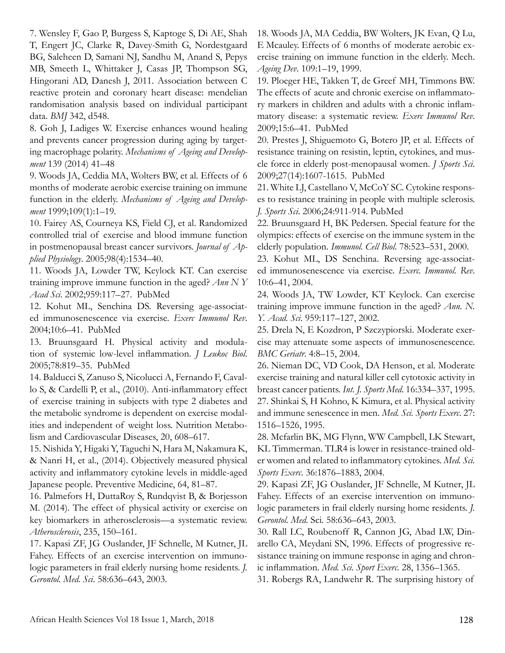7. Wensley F, Gao P, Burgess S, Kaptoge S, Di AE, Shah T, Engert JC, Clarke R, Davey-Smith G, Nordestgaard BG, Saleheen D, Samani NJ, Sandhu M, Anand S, Pepys MB, Smeeth L, Whittaker J, Casas JP, Thompson SG, Hingorani AD, Danesh J, 2011. Association between C reactive protein and coronary heart disease: mendelian randomisation analysis based on individual participant data. *BMJ* 342, d548.

8. Goh J, Ladiges W. Exercise enhances wound healing and prevents cancer progression during aging by targeting macrophage polarity. *Mechanisms of Ageing and Development* 139 (2014) 41–48

9. Woods JA, Ceddia MA, Wolters BW, et al. Effects of 6 months of moderate aerobic exercise training on immune function in the elderly. *Mechanisms of Ageing and Development* 1999;109(1):1–19.

10. Fairey AS, Courneya KS, Field CJ, et al. Randomized controlled trial of exercise and blood immune function in postmenopausal breast cancer survivors. *Journal of Applied Physiology*. 2005;98(4):1534–40.

11. Woods JA, Lowder TW, Keylock KT. Can exercise training improve immune function in the aged? *Ann N Y Acad Sci*. 2002;959:117–27. PubMed

12. Kohut ML, Senchina DS. Reversing age-associated immunosenescence via exercise. *Exerc Immunol Rev*. 2004;10:6–41. PubMed

13. Bruunsgaard H. Physical activity and modulation of systemic low-level inflammation. *J Leukoc Biol*. 2005;78:819–35. PubMed

14. Balducci S, Zanuso S, Nicolucci A, Fernando F, Cavallo S, & Cardelli P, et al., (2010). Anti-inflammatory effect of exercise training in subjects with type 2 diabetes and the metabolic syndrome is dependent on exercise modalities and independent of weight loss. Nutrition Metabolism and Cardiovascular Diseases, 20, 608–617.

15. Nishida Y, Higaki Y, Taguchi N, Hara M, Nakamura K, & Nanri H, et al., (2014). Objectively measured physical activity and inflammatory cytokine levels in middle-aged Japanese people. Preventive Medicine, 64, 81–87.

16. Palmefors H, DuttaRoy S, Rundqvist B, & Borjesson M. (2014). The effect of physical activity or exercise on key biomarkers in atherosclerosis—a systematic review. *Atherosclerosis*, 235, 150–161.

17. Kapasi ZF, JG Ouslander, JF Schnelle, M Kutner, JL Fahey. Effects of an exercise intervention on immunologic parameters in frail elderly nursing home residents. *J. Gerontol. Med. Sci*. 58:636–643, 2003.

18. Woods JA, MA Ceddia, BW Wolters, JK Evan, Q Lu, E Mcauley. Effects of 6 months of moderate aerobic exercise training on immune function in the elderly. Mech. *Ageing Dev*. 109:1–19, 1999.

19. Ploeger HE, Takken T, de Greef MH, Timmons BW. The effects of acute and chronic exercise on inflammatory markers in children and adults with a chronic inflammatory disease: a systematic review. *Exerc Immunol Rev*. 2009;15:6–41. PubMed

20. Prestes J, Shiguemoto G, Botero JP, et al. Effects of resistance training on resistin, leptin, cytokines, and muscle force in elderly post-menopausal women. *J Sports Sci*. 2009;27(14):1607-1615. PubMed

21. White LJ, Castellano V, McCoY SC. Cytokine responses to resistance training in people with multiple sclerosis. *J. Sports Sci*. 2006;24:911-914. PubMed

22. Bruunsgaard H, BK Pedersen. Special feature for the olympics: effects of exercise on the immune system in the elderly population. *Immunol. Cell Biol*. 78:523–531, 2000.

23. Kohut ML, DS Senchina. Reversing age-associated immunosenescence via exercise. *Exerc. Immunol. Rev*. 10:6–41, 2004.

24. Woods JA, TW Lowder, KT Keylock. Can exercise training improve immune function in the aged? *Ann. N. Y. Acad. Sci*. 959:117–127, 2002.

25. Drela N, E Kozdron, P Szczypiorski. Moderate exercise may attenuate some aspects of immunosenescence. *BMC Geriatr*. 4:8–15, 2004.

26. Nieman DC, VD Cook, DA Henson, et al. Moderate exercise training and natural killer cell cytotoxic activity in breast cancer patients. *Int. J. Sports Med*. 16:334–337, 1995. 27. Shinkai S, H Kohno, K Kimura, et al. Physical activity and immune senescence in men. *Med. Sci. Sports Exerc*. 27: 1516–1526, 1995.

28. Mcfarlin BK, MG Flynn, WW Campbell, LK Stewart, KL Timmerman. TLR4 is lower in resistance-trained older women and related to inflammatory cytokines. *Med. Sci. Sports Exerc*. 36:1876–1883, 2004.

29. Kapasi ZF, JG Ouslander, JF Schnelle, M Kutner, JL Fahey. Effects of an exercise intervention on immunologic parameters in frail elderly nursing home residents. *J. Gerontol. Med*. Sci. 58:636–643, 2003.

30. Rall LC, Roubenoff R, Cannon JG, Abad LW, Dinarello CA, Meydani SN, 1996. Effects of progressive resistance training on immune response in aging and chronic inflammation. *Med. Sci. Sport Exerc*. 28, 1356–1365.

31. Robergs RA, Landwehr R. The surprising history of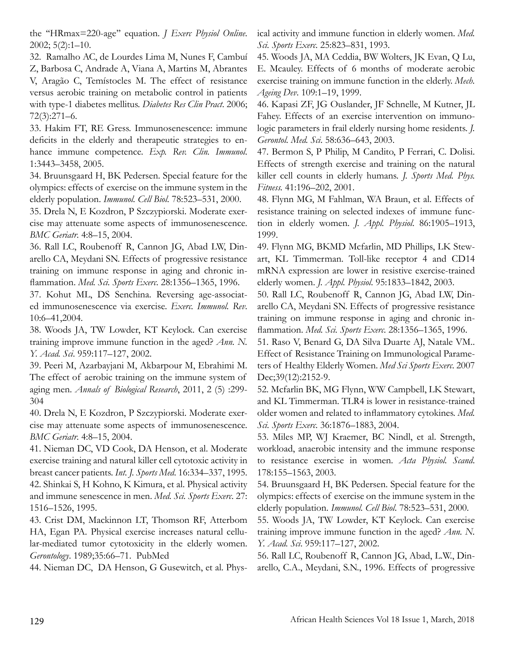the ''HRmax=220-age'' equation. *J Exerc Physiol Online*. 2002; 5(2):1–10.

32. Ramalho AC, de Lourdes Lima M, Nunes F, Cambuí Z, Barbosa C, Andrade A, Viana A, Martins M, Abrantes V, Aragão C, Temístocles M. The effect of resistance versus aerobic training on metabolic control in patients with type-1 diabetes mellitus. *Diabetes Res Clin Pract*. 2006; 72(3):271–6.

33. Hakim FT, RE Gress. Immunosenescence: immune deficits in the elderly and therapeutic strategies to enhance immune competence. *Exp. Rev. Clin. Immunol*. 1:3443–3458, 2005.

34. Bruunsgaard H, BK Pedersen. Special feature for the olympics: effects of exercise on the immune system in the elderly population. *Immunol. Cell Biol*. 78:523–531, 2000.

35. Drela N, E Kozdron, P Szczypiorski. Moderate exercise may attenuate some aspects of immunosenescence. *BMC Geriatr*. 4:8–15, 2004.

36. Rall LC, Roubenoff R, Cannon JG, Abad LW, Dinarello CA, Meydani SN. Effects of progressive resistance training on immune response in aging and chronic inflammation. *Med. Sci. Sports Exerc*. 28:1356–1365, 1996.

37. Kohut ML, DS Senchina. Reversing age-associated immunosenescence via exercise. *Exerc. Immunol. Rev*. 10:6–41,2004.

38. Woods JA, TW Lowder, KT Keylock. Can exercise training improve immune function in the aged? *Ann. N. Y. Acad. Sci*. 959:117–127, 2002.

39. Peeri M, Azarbayjani M, Akbarpour M, Ebrahimi M. The effect of aerobic training on the immune system of aging men. *Annals of Biological Research*, 2011, 2 (5) :299- 304

40. Drela N, E Kozdron, P Szczypiorski. Moderate exercise may attenuate some aspects of immunosenescence. *BMC Geriatr*. 4:8–15, 2004.

41. Nieman DC, VD Cook, DA Henson, et al. Moderate exercise training and natural killer cell cytotoxic activity in breast cancer patients. *Int. J. Sports Med*. 16:334–337, 1995. 42. Shinkai S, H Kohno, K Kimura, et al. Physical activity and immune senescence in men. *Med. Sci. Sports Exerc*. 27: 1516–1526, 1995.

43. Crist DM, Mackinnon LT, Thomson RF, Atterbom HA, Egan PA. Physical exercise increases natural cellular-mediated tumor cytotoxicity in the elderly women. *Gerontology*. 1989;35:66–71. PubMed

44. Nieman DC, DA Henson, G Gusewitch, et al. Phys-

ical activity and immune function in elderly women. *Med. Sci. Sports Exerc*. 25:823–831, 1993.

45. Woods JA, MA Ceddia, BW Wolters, JK Evan, Q Lu, E. Mcauley. Effects of 6 months of moderate aerobic exercise training on immune function in the elderly. *Mech. Ageing Dev*. 109:1–19, 1999.

46. Kapasi ZF, JG Ouslander, JF Schnelle, M Kutner, JL Fahey. Effects of an exercise intervention on immunologic parameters in frail elderly nursing home residents. *J. Gerontol. Med. Sci*. 58:636–643, 2003.

47. Bermon S, P Philip, M Candito, P Ferrari, C. Dolisi. Effects of strength exercise and training on the natural killer cell counts in elderly humans. *J. Sports Med. Phys. Fitness.* 41:196–202, 2001.

48. Flynn MG, M Fahlman, WA Braun, et al. Effects of resistance training on selected indexes of immune function in elderly women. *J. Appl. Physiol*. 86:1905–1913, 1999.

49. Flynn MG, BKMD Mcfarlin, MD Phillips, LK Stewart, KL Timmerman. Toll-like receptor 4 and CD14 mRNA expression are lower in resistive exercise-trained elderly women. *J. Appl. Physiol*. 95:1833–1842, 2003.

50. Rall LC, Roubenoff R, Cannon JG, Abad LW, Dinarello CA, Meydani SN. Effects of progressive resistance training on immune response in aging and chronic inflammation. *Med. Sci. Sports Exerc*. 28:1356–1365, 1996.

51. Raso V, Benard G, DA Silva Duarte AJ, Natale VM.. Effect of Resistance Training on Immunological Parameters of Healthy Elderly Women. *Med Sci Sports Exerc*. 2007 Dec;39(12):2152-9.

52. Mcfarlin BK, MG Flynn, WW Campbell, LK Stewart, and KL Timmerman. TLR4 is lower in resistance-trained older women and related to inflammatory cytokines. *Med. Sci. Sports Exerc*. 36:1876–1883, 2004.

53. Miles MP, WJ Kraemer, BC Nindl, et al. Strength, workload, anaerobic intensity and the immune response to resistance exercise in women. *Acta Physiol. Scand*. 178:155–1563, 2003.

54. Bruunsgaard H, BK Pedersen. Special feature for the olympics: effects of exercise on the immune system in the elderly population. *Immunol. Cell Biol*. 78:523–531, 2000.

55. Woods JA, TW Lowder, KT Keylock. Can exercise training improve immune function in the aged? *Ann. N. Y. Acad. Sci*. 959:117–127, 2002.

56. Rall LC, Roubenoff R, Cannon JG, Abad, L.W., Dinarello, C.A., Meydani, S.N., 1996. Effects of progressive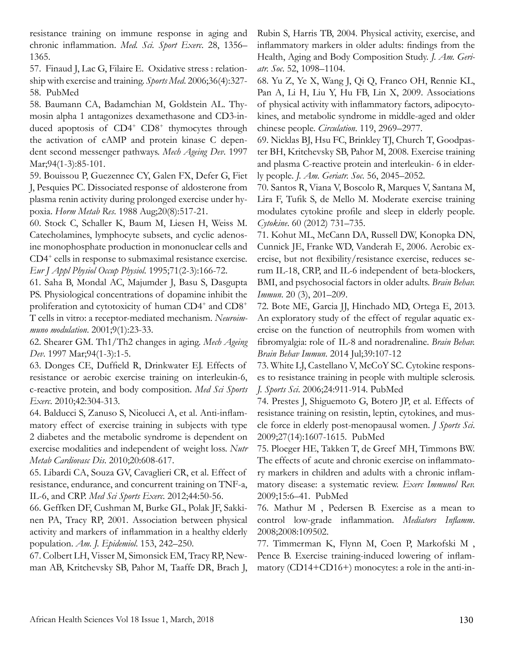resistance training on immune response in aging and chronic inflammation. *Med. Sci. Sport Exerc*. 28, 1356– 1365.

57. Finaud J, Lac G, Filaire E. Oxidative stress : relationship with exercise and training. *Sports Med*. 2006;36(4):327- 58. PubMed

58. Baumann CA, Badamchian M, Goldstein AL. Thymosin alpha 1 antagonizes dexamethasone and CD3-induced apoptosis of CD4<sup>+</sup> CD8<sup>+</sup> thymocytes through the activation of cAMP and protein kinase C dependent second messenger pathways. *Mech Ageing Dev*. 1997 Mar; 94(1-3): 85-101.

59. Bouissou P, Guezennec CY, Galen FX, Defer G, Fiet J, Pesquies PC. Dissociated response of aldosterone from plasma renin activity during prolonged exercise under hypoxia. *Horm Metab Res*. 1988 Aug;20(8):517-21.

60. Stock C, Schaller K, Baum M, Liesen H, Weiss M. Catecholamines, lymphocyte subsets, and cyclic adenosine monophosphate production in mononuclear cells and CD4<sup>+</sup> cells in response to submaximal resistance exercise. *Eur J Appl Physiol Occup Physiol*. 1995;71(2-3):166-72.

61. Saha B, Mondal AC, Majumder J, Basu S, Dasgupta PS. Physiological concentrations of dopamine inhibit the proliferation and cytotoxicity of human CD4<sup>+</sup> and CD8<sup>+</sup> T cells in vitro: a receptor-mediated mechanism. *Neuroimmuno modulation*. 2001;9(1):23-33.

62. Shearer GM. Th1/Th2 changes in aging. *Mech Ageing Dev*. 1997 Mar;94(1-3):1-5.

63. Donges CE, Duffield R, Drinkwater EJ. Effects of resistance or aerobic exercise training on interleukin-6, c-reactive protein, and body composition. *Med Sci Sports Exerc*. 2010;42:304-313.

64. Balducci S, Zanuso S, Nicolucci A, et al. Anti-inflammatory effect of exercise training in subjects with type 2 diabetes and the metabolic syndrome is dependent on exercise modalities and independent of weight loss. *Nutr Metab Cardiovasc Dis*. 2010;20:608-617.

65. Libardi CA, Souza GV, Cavaglieri CR, et al. Effect of resistance, endurance, and concurrent training on TNF-a, IL-6, and CRP. *Med Sci Sports Exerc*. 2012;44:50-56.

66. Geffken DF, Cushman M, Burke GL, Polak JF, Sakkinen PA, Tracy RP, 2001. Association between physical activity and markers of inflammation in a healthy elderly population. *Am. J. Epidemiol*. 153, 242–250.

67. Colbert LH, Visser M, Simonsick EM, Tracy RP, Newman AB, Kritchevsky SB, Pahor M, Taaffe DR, Brach J, Rubin S, Harris TB, 2004. Physical activity, exercise, and inflammatory markers in older adults: findings from the Health, Aging and Body Composition Study. *J. Am. Geriatr. Soc*. 52, 1098–1104.

68. Yu Z, Ye X, Wang J, Qi Q, Franco OH, Rennie KL, Pan A, Li H, Liu Y, Hu FB, Lin X, 2009. Associations of physical activity with inflammatory factors, adipocytokines, and metabolic syndrome in middle-aged and older chinese people. *Circulation*. 119, 2969–2977.

69. Nicklas BJ, Hsu FC, Brinkley TJ, Church T, Goodpaster BH, Kritchevsky SB, Pahor M, 2008. Exercise training and plasma C-reactive protein and interleukin- 6 in elderly people. *J. Am. Geriatr. Soc*. 56, 2045–2052.

70. Santos R, Viana V, Boscolo R, Marques V, Santana M, Lira F, Tufik S, de Mello M. Moderate exercise training modulates cytokine profile and sleep in elderly people. *Cytokine*. 60 (2012) 731–735.

71. Kohut ML, McCann DA, Russell DW, Konopka DN, Cunnick JE, Franke WD, Vanderah E, 2006. Aerobic exercise, but not flexibility/resistance exercise, reduces serum IL-18, CRP, and IL-6 independent of beta-blockers, BMI, and psychosocial factors in older adults. *Brain Behav. Immun*. 20 (3), 201–209.

72. Bote ME, Garcia JJ, Hinchado MD, Ortega E, 2013. An exploratory study of the effect of regular aquatic exercise on the function of neutrophils from women with fibromyalgia: role of IL-8 and noradrenaline. *Brain Behav. Brain Behav Immun*. 2014 Jul;39:107-12

73. White LJ, Castellano V, McCoY SC. Cytokine responses to resistance training in people with multiple sclerosis. *J. Sports Sci*. 2006;24:911-914. PubMed

74. Prestes J, Shiguemoto G, Botero JP, et al. Effects of resistance training on resistin, leptin, cytokines, and muscle force in elderly post-menopausal women. *J Sports Sci*. 2009;27(14):1607-1615. PubMed

75. Ploeger HE, Takken T, de Greef MH, Timmons BW. The effects of acute and chronic exercise on inflammatory markers in children and adults with a chronic inflammatory disease: a systematic review. *Exerc Immunol Rev.*  2009;15:6–41. PubMed

76. Mathur M , Pedersen B. Exercise as a mean to control low-grade inflammation. *Mediators Inflamm*. 2008;2008:109502.

77. Timmerman K, Flynn M, Coen P, Markofski M , Pence B. Exercise training-induced lowering of inflammatory (CD14+CD16+) monocytes: a role in the anti-in